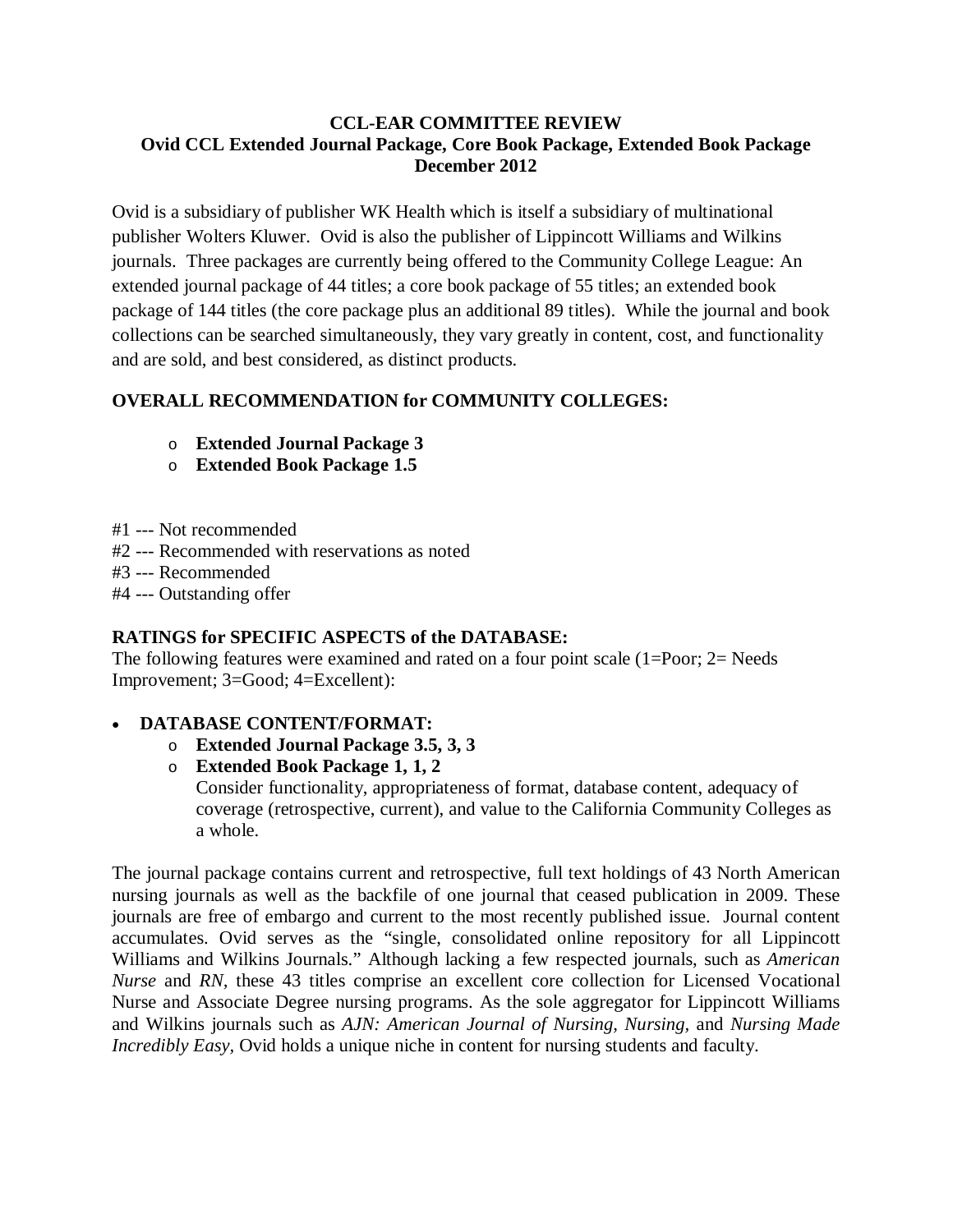### **CCL-EAR COMMITTEE REVIEW Ovid CCL Extended Journal Package, Core Book Package, Extended Book Package December 2012**

Ovid is a subsidiary of publisher WK Health which is itself a subsidiary of multinational publisher Wolters Kluwer. Ovid is also the publisher of Lippincott Williams and Wilkins journals. Three packages are currently being offered to the Community College League: An extended journal package of 44 titles; a core book package of 55 titles; an extended book package of 144 titles (the core package plus an additional 89 titles). While the journal and book collections can be searched simultaneously, they vary greatly in content, cost, and functionality and are sold, and best considered, as distinct products.

## **OVERALL RECOMMENDATION for COMMUNITY COLLEGES:**

- o **Extended Journal Package 3**
- o **Extended Book Package 1.5**
- #1 --- Not recommended
- #2 --- Recommended with reservations as noted
- #3 --- Recommended
- #4 --- Outstanding offer

### **RATINGS for SPECIFIC ASPECTS of the DATABASE:**

The following features were examined and rated on a four point scale (1=Poor; 2= Needs Improvement; 3=Good; 4=Excellent):

## • **DATABASE CONTENT/FORMAT:**

o **Extended Journal Package 3.5, 3, 3**

o **Extended Book Package 1, 1, 2** Consider functionality, appropriateness of format, database content, adequacy of coverage (retrospective, current), and value to the California Community Colleges as a whole.

The journal package contains current and retrospective, full text holdings of 43 North American nursing journals as well as the backfile of one journal that ceased publication in 2009. These journals are free of embargo and current to the most recently published issue. Journal content accumulates. Ovid serves as the "single, consolidated online repository for all Lippincott Williams and Wilkins Journals." Although lacking a few respected journals, such as *American Nurse* and *RN,* these 43 titles comprise an excellent core collection for Licensed Vocational Nurse and Associate Degree nursing programs. As the sole aggregator for Lippincott Williams and Wilkins journals such as *AJN: American Journal of Nursing, Nursing,* and *Nursing Made Incredibly Easy*, Ovid holds a unique niche in content for nursing students and faculty.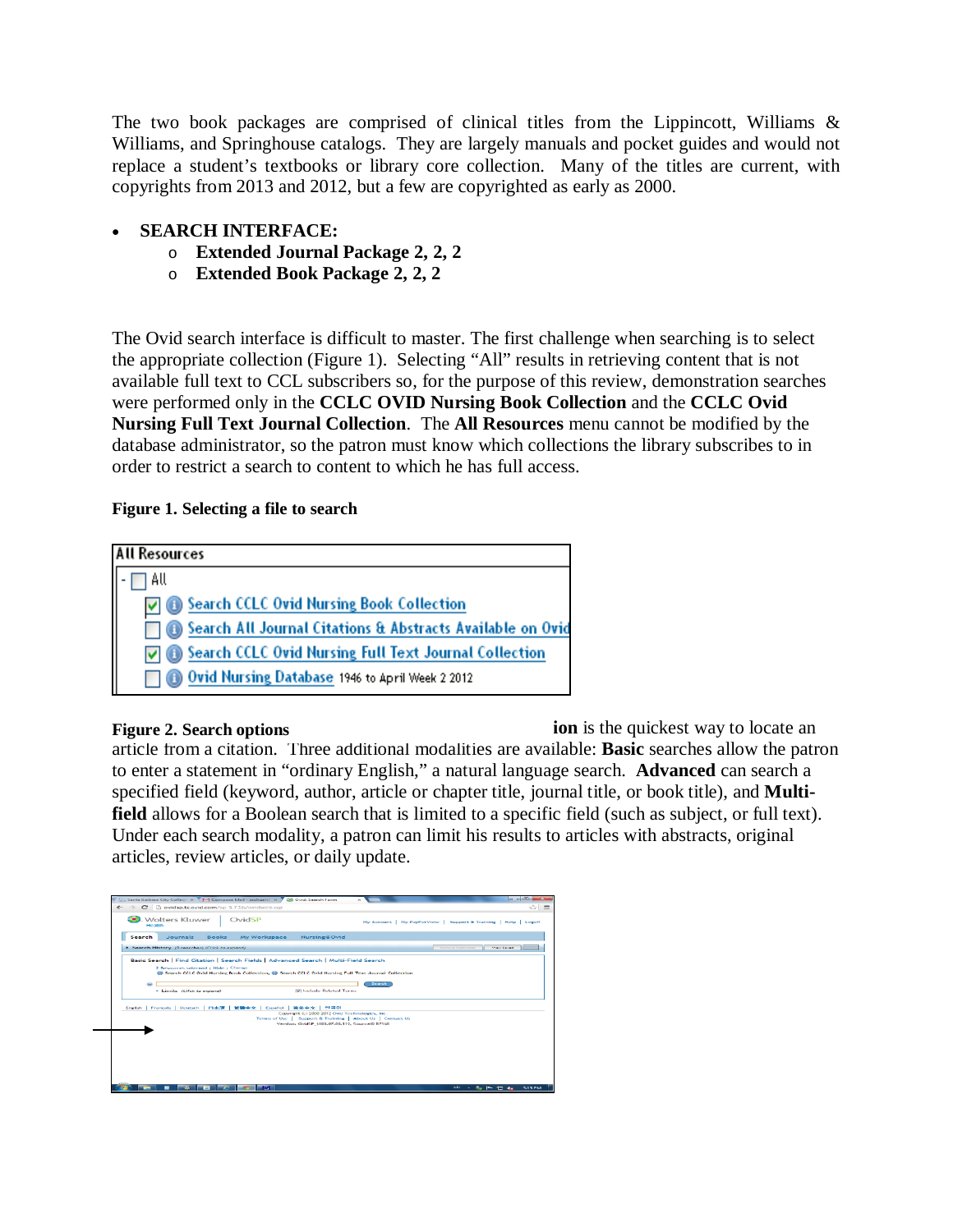The two book packages are comprised of clinical titles from the Lippincott, Williams  $\&$ Williams, and Springhouse catalogs. They are largely manuals and pocket guides and would not replace a student's textbooks or library core collection. Many of the titles are current, with copyrights from 2013 and 2012, but a few are copyrighted as early as 2000.

### • **SEARCH INTERFACE:**

- o **Extended Journal Package 2, 2, 2**
- o **Extended Book Package 2, 2, 2**

The Ovid search interface is difficult to master. The first challenge when searching is to select the appropriate collection (Figure 1). Selecting "All" results in retrieving content that is not available full text to CCL subscribers so, for the purpose of this review, demonstration searches were performed only in the **CCLC OVID Nursing Book Collection** and the **CCLC Ovid Nursing Full Text Journal Collection**. The **All Resources** menu cannot be modified by the database administrator, so the patron must know which collections the library subscribes to in order to restrict a search to content to which he has full access.

### **Figure 1. Selecting a file to search**

| <b>All Resources</b> |                                                            |  |  |  |  |  |  |
|----------------------|------------------------------------------------------------|--|--|--|--|--|--|
| All                  |                                                            |  |  |  |  |  |  |
|                      | ☑ Search CCLC Ovid Nursing Book Collection                 |  |  |  |  |  |  |
|                      | Search All Journal Citations & Abstracts Available on Ovid |  |  |  |  |  |  |
|                      | Search CCLC Ovid Nursing Full Text Journal Collection      |  |  |  |  |  |  |
|                      | Ovid Nursing Database 1946 to April Week 2 2012            |  |  |  |  |  |  |

**ion** is the quickest way to locate an article from a citation. Three additional modalities are available: **Basic** searches allow the patron to enter a statement in "ordinary English," a natural language search. **Advanced** can search a specified field (keyword, author, article or chapter title, journal title, or book title), and **Multifield** allows for a Boolean search that is limited to a specific field (such as subject, or full text). Under each search modality, a patron can limit his results to articles with abstracts, original articles, review articles, or daily update. **Figure 2. Search options**

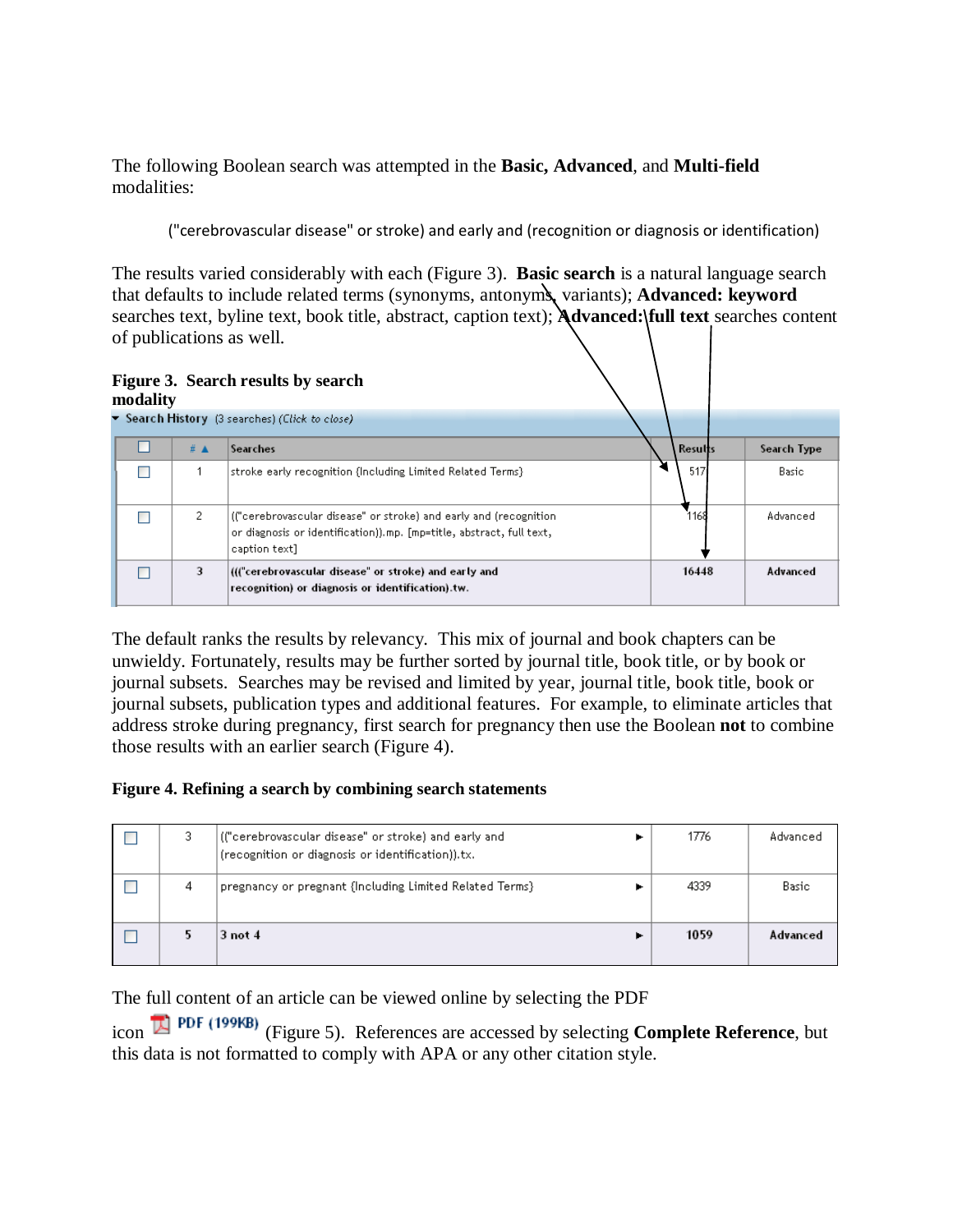The following Boolean search was attempted in the **Basic, Advanced**, and **Multi-field** modalities:

("cerebrovascular disease" or stroke) and early and (recognition or diagnosis or identification)

The results varied considerably with each (Figure 3). **Basic search** is a natural language search that defaults to include related terms (synonyms, antonyms, variants); **Advanced: keyword** searches text, byline text, book title, abstract, caption text); **Advanced: full text** searches content of publications as well.



| mouanty                                        |  |     |                                                                                                                                                             |  |         |             |
|------------------------------------------------|--|-----|-------------------------------------------------------------------------------------------------------------------------------------------------------------|--|---------|-------------|
| ▼ Search History (3 searches) (Click to close) |  |     |                                                                                                                                                             |  |         |             |
|                                                |  | # ▲ | <b>Searches</b>                                                                                                                                             |  | Results | Search Type |
|                                                |  |     | stroke early recognition (Including Limited Related Terms)                                                                                                  |  | 517     | Basic       |
|                                                |  | 2   | (("cerebrovascular disease" or stroke) and early and (recognition)<br>or diagnosis or identification)).mp. [mp=title, abstract, full text,<br>caption text] |  | 1168    | Advanced    |
|                                                |  | 3   | ((("cerebrovascular disease" or stroke) and early and<br>recognition) or diagnosis or identification).tw.                                                   |  | 16448   | Advanced    |

The default ranks the results by relevancy. This mix of journal and book chapters can be unwieldy. Fortunately, results may be further sorted by journal title, book title, or by book or journal subsets. Searches may be revised and limited by year, journal title, book title, book or journal subsets, publication types and additional features. For example, to eliminate articles that address stroke during pregnancy, first search for pregnancy then use the Boolean **not** to combine those results with an earlier search (Figure 4).

#### **Figure 4. Refining a search by combining search statements**

|   | (("cerebrovascular disease" or stroke) and early and<br>(recognition or diagnosis or identification)).tx. | 1776 | Advanced |
|---|-----------------------------------------------------------------------------------------------------------|------|----------|
| 4 | pregnancy or pregnant {Including Limited Related Terms}                                                   | 4339 | Basic    |
|   | $3$ not $4$                                                                                               | 1059 | Advanced |

The full content of an article can be viewed online by selecting the PDF

icon (Figure 5). References are accessed by selecting **Complete Reference**, but this data is not formatted to comply with APA or any other citation style.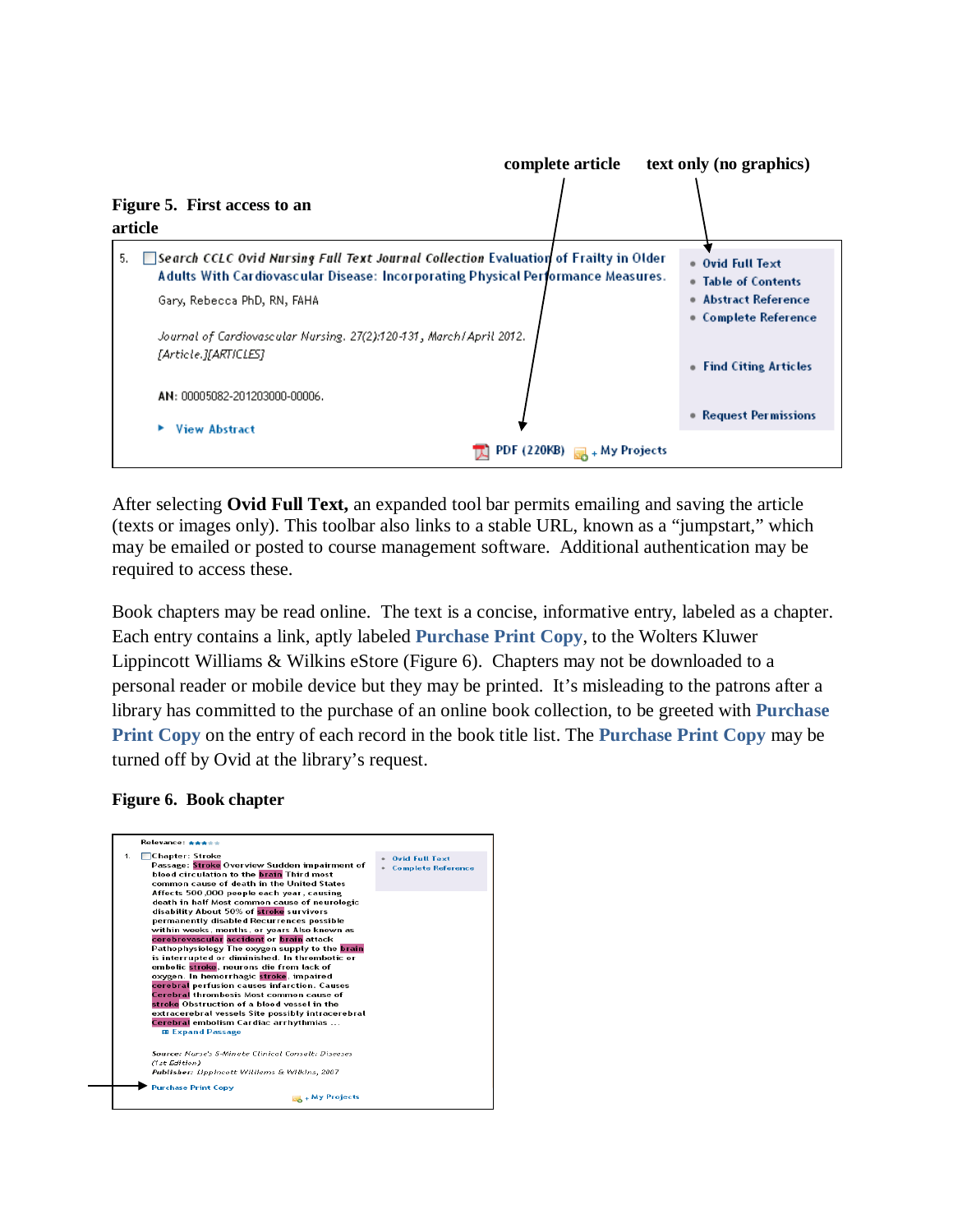

After selecting **Ovid Full Text,** an expanded tool bar permits emailing and saving the article (texts or images only). This toolbar also links to a stable URL, known as a "jumpstart," which may be emailed or posted to course management software. Additional authentication may be required to access these.

Book chapters may be read online. The text is a concise, informative entry, labeled as a chapter. Each entry contains a link, aptly labeled **Purchase Print Copy**, to the Wolters Kluwer Lippincott Williams & Wilkins eStore (Figure 6). Chapters may not be downloaded to a personal reader or mobile device but they may be printed. It's misleading to the patrons after a library has committed to the purchase of an online book collection, to be greeted with **Purchase Print Copy** on the entry of each record in the book title list. The **Purchase Print Copy** may be turned off by Ovid at the library's request.

#### **Figure 6. Book chapter**

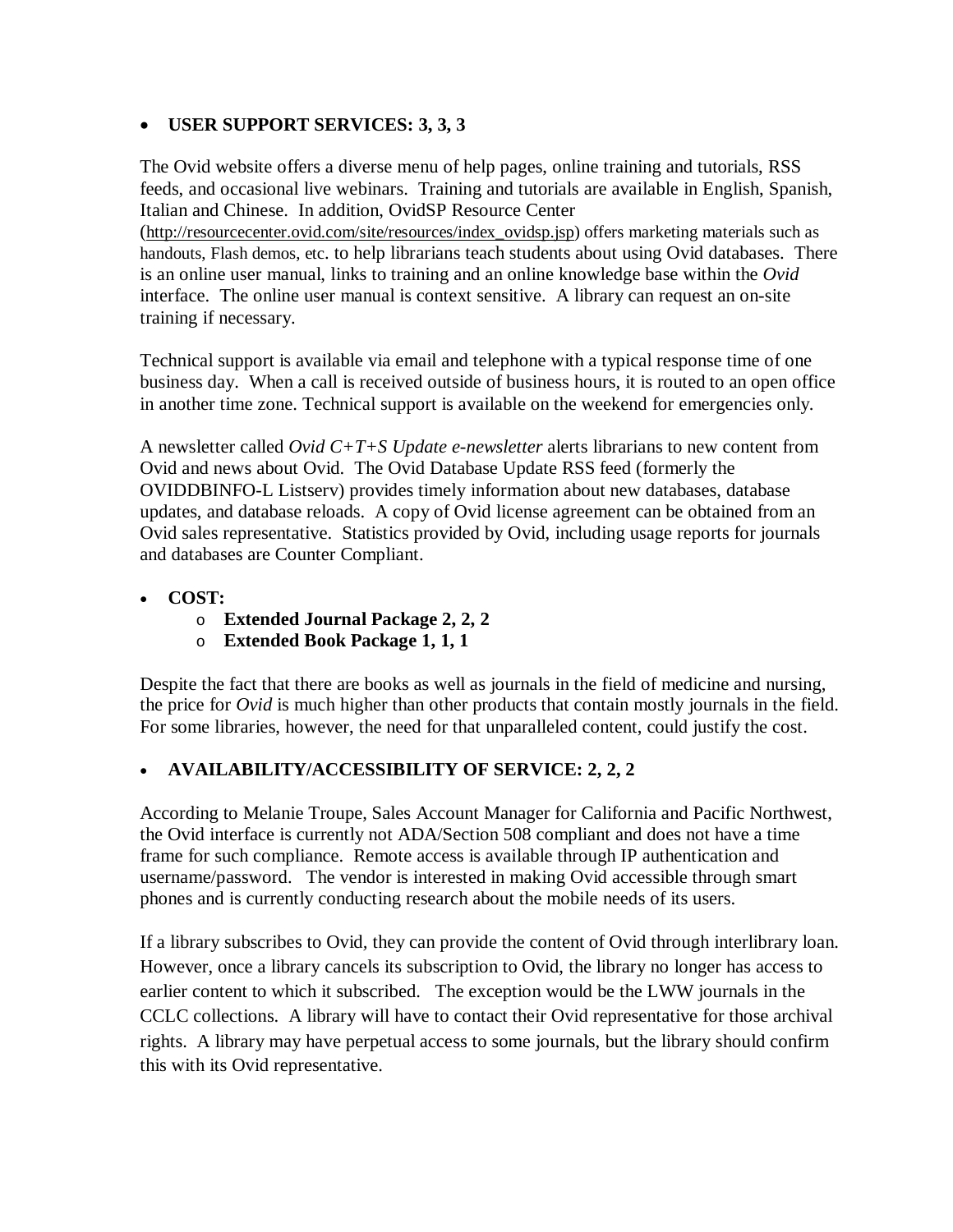## • **USER SUPPORT SERVICES: 3, 3, 3**

The Ovid website offers a diverse menu of help pages, online training and tutorials, RSS feeds, and occasional live webinars. Training and tutorials are available in English, Spanish, Italian and Chinese. In addition, OvidSP Resource Center [\(http://resourcecenter.ovid.com/site/resources/index\\_ovidsp.jsp\)](http://resourcecenter.ovid.com/site/resources/index_ovidsp.jsp) offers marketing materials such as handouts, Flash demos, etc. to help librarians teach students about using Ovid databases. There is an online user manual, links to training and an online knowledge base within the *Ovid* interface. The online user manual is context sensitive. A library can request an on-site training if necessary.

Technical support is available via email and telephone with a typical response time of one business day. When a call is received outside of business hours, it is routed to an open office in another time zone. Technical support is available on the weekend for emergencies only.

A newsletter called *Ovid C+T+S Update e-newsletter* alerts librarians to new content from Ovid and news about Ovid. The Ovid Database Update RSS feed (formerly the OVIDDBINFO-L Listserv) provides timely information about new databases, database updates, and database reloads.A copy of Ovid license agreement can be obtained from an Ovid sales representative. Statistics provided by Ovid, including usage reports for journals and databases are Counter Compliant.

- **COST:**
	- o **Extended Journal Package 2, 2, 2**
	- o **Extended Book Package 1, 1, 1**

Despite the fact that there are books as well as journals in the field of medicine and nursing, the price for *Ovid* is much higher than other products that contain mostly journals in the field. For some libraries, however, the need for that unparalleled content, could justify the cost.

## • **AVAILABILITY/ACCESSIBILITY OF SERVICE: 2, 2, 2**

According to Melanie Troupe, Sales Account Manager for California and Pacific Northwest, the Ovid interface is currently not ADA/Section 508 compliant and does not have a time frame for such compliance. Remote access is available through IP authentication and username/password. The vendor is interested in making Ovid accessible through smart phones and is currently conducting research about the mobile needs of its users.

If a library subscribes to Ovid*,* they can provide the content of Ovid through interlibrary loan. However, once a library cancels its subscription to Ovid, the library no longer has access to earlier content to which it subscribed. The exception would be the LWW journals in the CCLC collections. A library will have to contact their Ovid representative for those archival rights. A library may have perpetual access to some journals, but the library should confirm this with its Ovid representative.